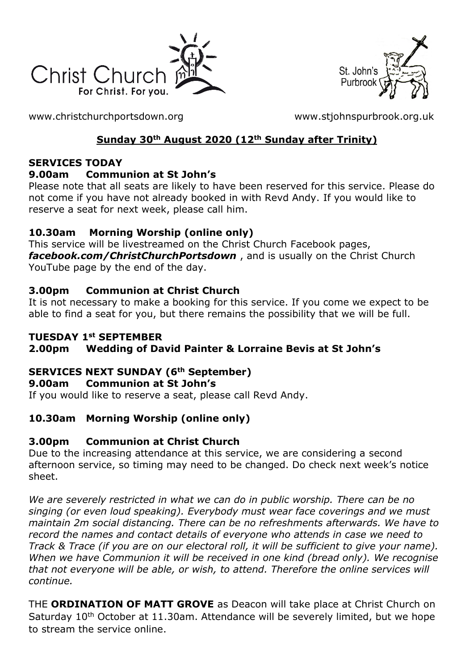



[www.christchurchportsdown.org](http://www.christchurchportsdown.org/) [www.stjohnspurbrook.org.uk](http://www.stjohnspurbrook.org.uk/)

# **Sunday 30th August 2020 (12th Sunday after Trinity)**

#### **SERVICES TODAY**

#### **9.00am Communion at St John's**

Please note that all seats are likely to have been reserved for this service. Please do not come if you have not already booked in with Revd Andy. If you would like to reserve a seat for next week, please call him.

#### **10.30am Morning Worship (online only)**

This service will be livestreamed on the Christ Church Facebook pages, *[facebook.com/ChristChurchPortsdown](http://www.facebook.com/ChristChurchPortsdown%20at%2010.30)* , and is usually on the Christ Church YouTube page by the end of the day.

### **3.00pm Communion at Christ Church**

It is not necessary to make a booking for this service. If you come we expect to be able to find a seat for you, but there remains the possibility that we will be full.

#### **TUESDAY 1st SEPTEMBER**

## **2.00pm Wedding of David Painter & Lorraine Bevis at St John's**

#### **SERVICES NEXT SUNDAY (6th September)**

#### **9.00am Communion at St John's**

If you would like to reserve a seat, please call Revd Andy.

## **10.30am Morning Worship (online only)**

#### **3.00pm Communion at Christ Church**

Due to the increasing attendance at this service, we are considering a second afternoon service, so timing may need to be changed. Do check next week's notice sheet.

*We are severely restricted in what we can do in public worship. There can be no singing (or even loud speaking). Everybody must wear face coverings and we must maintain 2m social distancing. There can be no refreshments afterwards. We have to record the names and contact details of everyone who attends in case we need to Track & Trace (if you are on our electoral roll, it will be sufficient to give your name). When we have Communion it will be received in one kind (bread only). We recognise that not everyone will be able, or wish, to attend. Therefore the online services will continue.*

THE **ORDINATION OF MATT GROVE** as Deacon will take place at Christ Church on Saturday 10<sup>th</sup> October at 11.30am. Attendance will be severely limited, but we hope to stream the service online.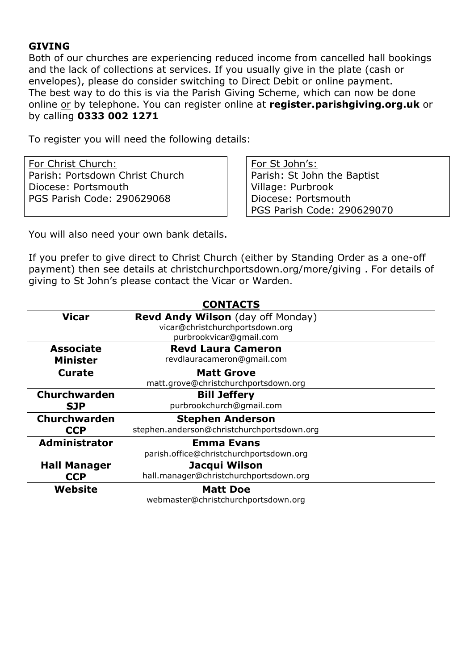#### **GIVING**

Both of our churches are experiencing reduced income from cancelled hall bookings and the lack of collections at services. If you usually give in the plate (cash or envelopes), please do consider switching to Direct Debit or online payment. The best way to do this is via the Parish Giving Scheme, which can now be done online or by telephone. You can register online at **register.parishgiving.org.uk** or by calling **0333 002 1271**

To register you will need the following details:

For Christ Church: Parish: Portsdown Christ Church Diocese: Portsmouth PGS Parish Code: 290629068

For St John's: Parish: St John the Baptist Village: Purbrook Diocese: Portsmouth PGS Parish Code: 290629070

You will also need your own bank details.

If you prefer to give direct to Christ Church (either by Standing Order as a one-off payment) then see details at christchurchportsdown.org/more/giving . For details of giving to St John's please contact the Vicar or Warden.

| <b>CONTACTS</b>      |                                            |
|----------------------|--------------------------------------------|
| Vicar                | <b>Revd Andy Wilson</b> (day off Monday)   |
|                      | vicar@christchurchportsdown.org            |
|                      | purbrookvicar@gmail.com                    |
| <b>Associate</b>     | <b>Revd Laura Cameron</b>                  |
| <b>Minister</b>      | revdlauracameron@gmail.com                 |
| <b>Curate</b>        | <b>Matt Grove</b>                          |
|                      | matt.grove@christchurchportsdown.org       |
| <b>Churchwarden</b>  | <b>Bill Jeffery</b>                        |
| <b>SJP</b>           | purbrookchurch@gmail.com                   |
| <b>Churchwarden</b>  | <b>Stephen Anderson</b>                    |
| <b>CCP</b>           | stephen.anderson@christchurchportsdown.org |
| <b>Administrator</b> | <b>Emma Evans</b>                          |
|                      | parish.office@christchurchportsdown.org    |
| <b>Hall Manager</b>  | Jacqui Wilson                              |
| <b>CCP</b>           | hall.manager@christchurchportsdown.org     |
| Website              | <b>Matt Doe</b>                            |
|                      | webmaster@christchurchportsdown.org        |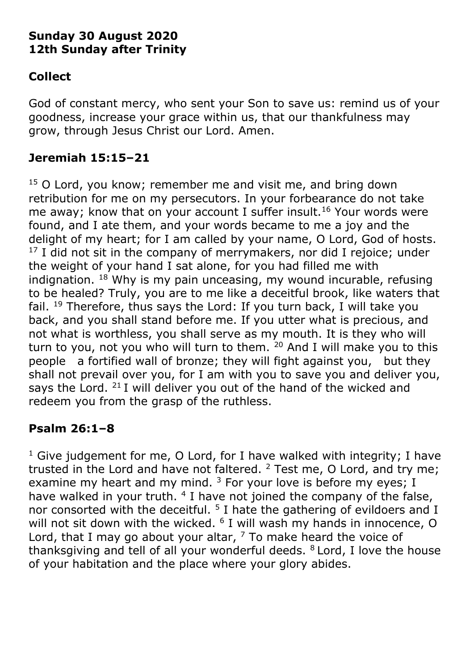# **Sunday 30 August 2020 12th Sunday after Trinity**

# **Collect**

God of constant mercy, who sent your Son to save us: remind us of your goodness, increase your grace within us, that our thankfulness may grow, through Jesus Christ our Lord. Amen.

# **Jeremiah 15:15–21**

 $15$  O Lord, you know; remember me and visit me, and bring down retribution for me on my persecutors. In your forbearance do not take me away; know that on your account I suffer insult.<sup>16</sup> Your words were found, and I ate them, and your words became to me a joy and the delight of my heart; for I am called by your name, O Lord, God of hosts.  $17$  I did not sit in the company of merrymakers, nor did I rejoice; under the weight of your hand I sat alone, for you had filled me with indignation.  $18$  Why is my pain unceasing, my wound incurable, refusing to be healed? Truly, you are to me like a deceitful brook, like waters that fail.  $19$  Therefore, thus says the Lord: If you turn back, I will take you back, and you shall stand before me. If you utter what is precious, and not what is worthless, you shall serve as my mouth. It is they who will turn to you, not you who will turn to them.  $20$  And I will make you to this people a fortified wall of bronze; they will fight against you, but they shall not prevail over you, for I am with you to save you and deliver you, says the Lord.  $21$  I will deliver you out of the hand of the wicked and redeem you from the grasp of the ruthless.

## **Psalm 26:1–8**

<sup>1</sup> Give judgement for me, O Lord, for I have walked with integrity; I have trusted in the Lord and have not faltered.  $2$  Test me, O Lord, and try me; examine my heart and my mind.  $3$  For your love is before my eyes; I have walked in your truth. <sup>4</sup> I have not joined the company of the false, nor consorted with the deceitful.  $5$  I hate the gathering of evildoers and I will not sit down with the wicked.  $6$  I will wash my hands in innocence, O Lord, that I may go about your altar,  $<sup>7</sup>$  To make heard the voice of</sup> thanksgiving and tell of all your wonderful deeds.  $8$  Lord, I love the house of your habitation and the place where your glory abides.